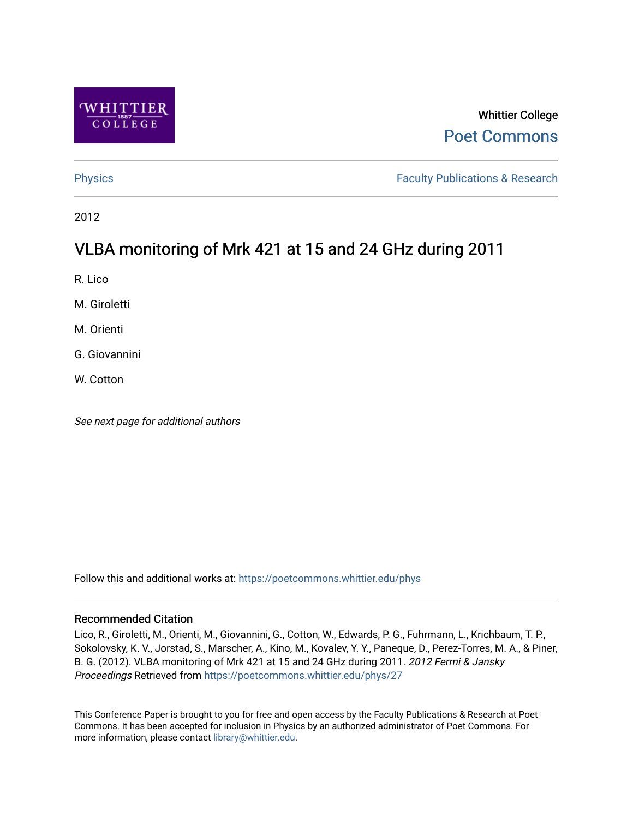

# Whittier College [Poet Commons](https://poetcommons.whittier.edu/)

[Physics](https://poetcommons.whittier.edu/phys) **Faculty Publications & Research Physics Faculty Publications & Research** 

2012

# VLBA monitoring of Mrk 421 at 15 and 24 GHz during 2011

R. Lico

M. Giroletti

M. Orienti

G. Giovannini

W. Cotton

See next page for additional authors

Follow this and additional works at: [https://poetcommons.whittier.edu/phys](https://poetcommons.whittier.edu/phys?utm_source=poetcommons.whittier.edu%2Fphys%2F27&utm_medium=PDF&utm_campaign=PDFCoverPages)

## Recommended Citation

Lico, R., Giroletti, M., Orienti, M., Giovannini, G., Cotton, W., Edwards, P. G., Fuhrmann, L., Krichbaum, T. P., Sokolovsky, K. V., Jorstad, S., Marscher, A., Kino, M., Kovalev, Y. Y., Paneque, D., Perez-Torres, M. A., & Piner, B. G. (2012). VLBA monitoring of Mrk 421 at 15 and 24 GHz during 2011. 2012 Fermi & Jansky Proceedings Retrieved from [https://poetcommons.whittier.edu/phys/27](https://poetcommons.whittier.edu/phys/27?utm_source=poetcommons.whittier.edu%2Fphys%2F27&utm_medium=PDF&utm_campaign=PDFCoverPages)

This Conference Paper is brought to you for free and open access by the Faculty Publications & Research at Poet Commons. It has been accepted for inclusion in Physics by an authorized administrator of Poet Commons. For more information, please contact [library@whittier.edu.](mailto:library@whittier.edu)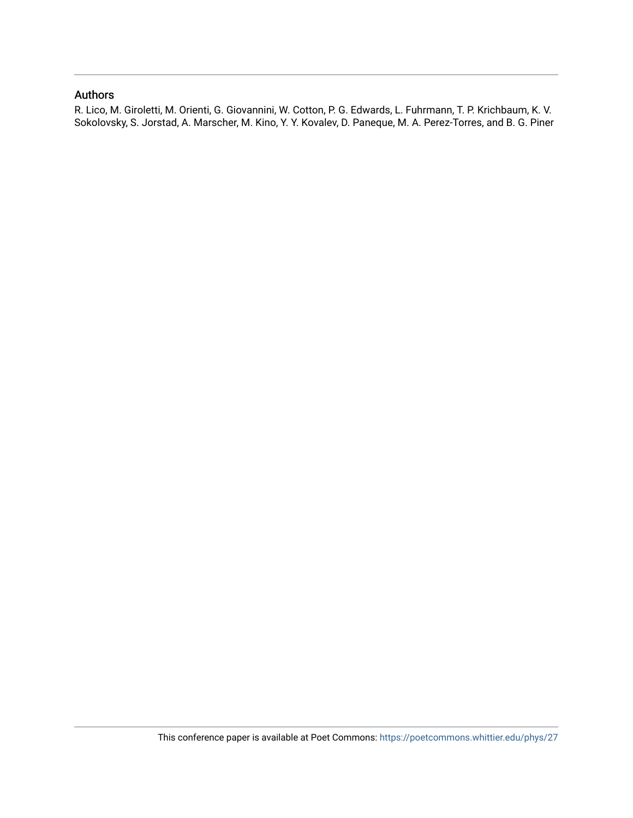# Authors

R. Lico, M. Giroletti, M. Orienti, G. Giovannini, W. Cotton, P. G. Edwards, L. Fuhrmann, T. P. Krichbaum, K. V. Sokolovsky, S. Jorstad, A. Marscher, M. Kino, Y. Y. Kovalev, D. Paneque, M. A. Perez-Torres, and B. G. Piner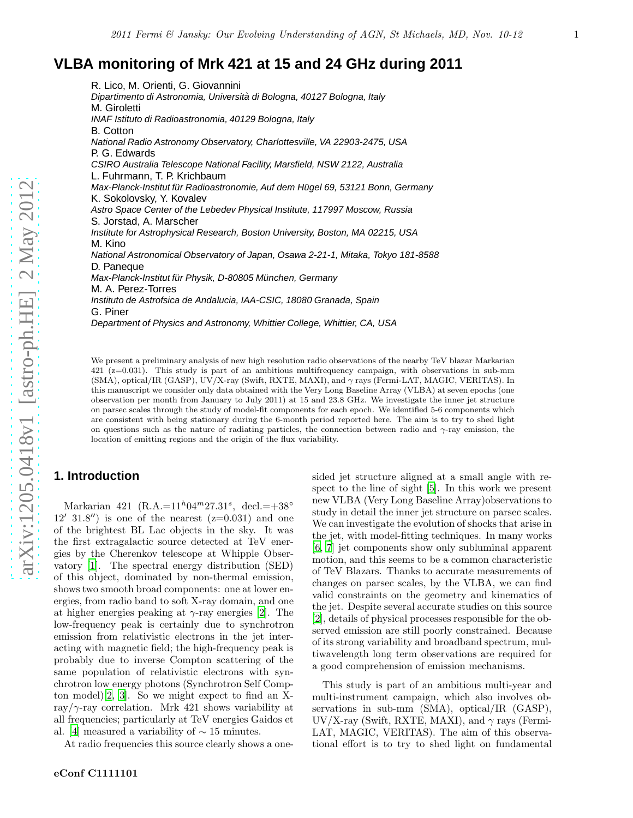# **VLBA monitoring of Mrk 421 at 15 and 24 GHz during 2011**

R. Lico, M. Orienti, G. Giovannini Dipartimento di Astronomia, Università di Bologna, 40127 Bologna, Italy M. Giroletti INAF Istituto di Radioastronomia, 40129 Bologna, Italy B. Cotton National Radio Astronomy Observatory, Charlottesville, VA 22903-2475, USA P. G. Edwards CSIRO Australia Telescope National Facility, Marsfield, NSW 2122, Australia L. Fuhrmann, T. P. Krichbaum Max-Planck-Institut für Radioastronomie, Auf dem Hügel 69, 53121 Bonn, Germany K. Sokolovsky, Y. Kovalev Astro Space Center of the Lebedev Physical Institute, 117997 Moscow, Russia S. Jorstad, A. Marscher Institute for Astrophysical Research, Boston University, Boston, MA 02215, USA M. Kino National Astronomical Observatory of Japan, Osawa 2-21-1, Mitaka, Tokyo 181-8588 D. Paneque Max-Planck-Institut für Physik, D-80805 München, Germany M. A. Perez-Torres Instituto de Astrofsica de Andalucia, IAA-CSIC, 18080 Granada, Spain G. Piner Department of Physics and Astronomy, Whittier College, Whittier, CA, USA

We present a preliminary analysis of new high resolution radio observations of the nearby TeV blazar Markarian 421 (z=0.031). This study is part of an ambitious multifrequency campaign, with observations in sub-mm (SMA), optical/IR (GASP), UV/X-ray (Swift, RXTE, MAXI), and γ rays (Fermi-LAT, MAGIC, VERITAS). In this manuscript we consider only data obtained with the Very Long Baseline Array (VLBA) at seven epochs (one observation per month from January to July 2011) at 15 and 23.8 GHz. We investigate the inner jet structure on parsec scales through the study of model-fit components for each epoch. We identified 5-6 components which are consistent with being stationary during the 6-month period reported here. The aim is to try to shed light on questions such as the nature of radiating particles, the connection between radio and  $\gamma$ -ray emission, the location of emitting regions and the origin of the flux variability.

# **1. Introduction**

Markarian 421 (R.A.= $11^h04^m27.31^s$ , decl.= $+38°$  $12'$  31.8") is one of the nearest  $(z=0.031)$  and one of the brightest BL Lac objects in the sky. It was the first extragalactic source detected at TeV energies by the Cherenkov telescope at Whipple Observatory [\[1](#page-7-0)]. The spectral energy distribution (SED) of this object, dominated by non-thermal emission, shows two smooth broad components: one at lower energies, from radio band to soft X-ray domain, and one at higher energies peaking at  $\gamma$ -ray energies [\[2\]](#page-7-1). The low-frequency peak is certainly due to synchrotron emission from relativistic electrons in the jet interacting with magnetic field; the high-frequency peak is probably due to inverse Compton scattering of the same population of relativistic electrons with synchrotron low energy photons (Synchrotron Self Compton model)[\[2](#page-7-1), [3\]](#page-7-2). So we might expect to find an Xray/ $\gamma$ -ray correlation. Mrk 421 shows variability at all frequencies; particularly at TeV energies Gaidos et al. [\[4\]](#page-7-3) measured a variability of  $\sim$  15 minutes.

At radio frequencies this source clearly shows a one-

sided jet structure aligned at a small angle with respect to the line of sight [\[5](#page-7-4)]. In this work we present new VLBA (Very Long Baseline Array)observations to study in detail the inner jet structure on parsec scales. We can investigate the evolution of shocks that arise in the jet, with model-fitting techniques. In many works [\[6,](#page-7-5) [7](#page-7-6)] jet components show only subluminal apparent motion, and this seems to be a common characteristic of TeV Blazars. Thanks to accurate measurements of changes on parsec scales, by the VLBA, we can find valid constraints on the geometry and kinematics of the jet. Despite several accurate studies on this source [\[2\]](#page-7-1), details of physical processes responsible for the observed emission are still poorly constrained. Because of its strong variability and broadband spectrum, multiwavelength long term observations are required for a good comprehension of emission mechanisms.

This study is part of an ambitious multi-year and multi-instrument campaign, which also involves observations in sub-mm (SMA), optical/IR (GASP), UV/X-ray (Swift, RXTE, MAXI), and  $\gamma$  rays (Fermi-LAT, MAGIC, VERITAS). The aim of this observational effort is to try to shed light on fundamental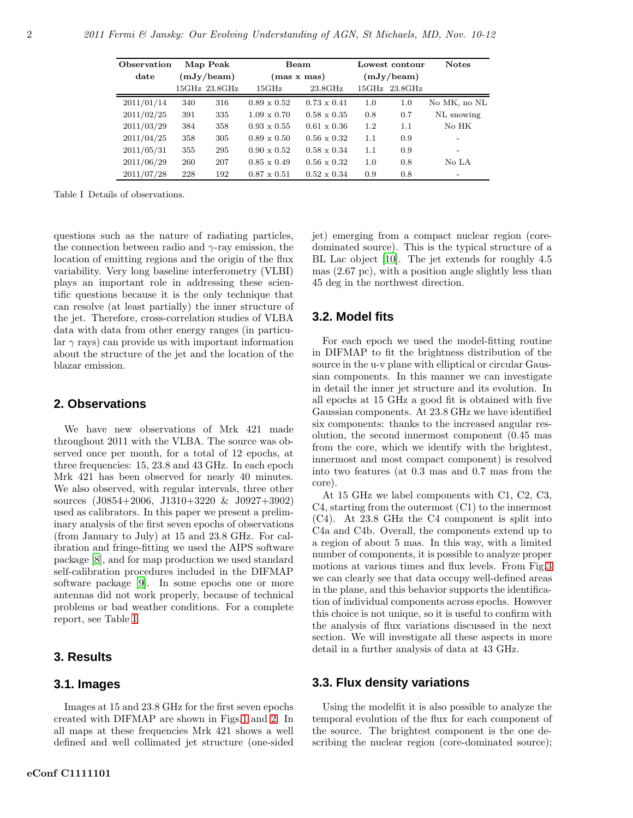| Observation |            | Map Peak      |                    | Beam               |            | Lowest contour | <b>Notes</b>             |
|-------------|------------|---------------|--------------------|--------------------|------------|----------------|--------------------------|
| date        | (mJy/beam) |               | (mas x mas)        |                    | (mJy/beam) |                |                          |
|             |            | 15GHz 23.8GHz | $15\mathrm{GHz}$   | 23.8GHz            |            | 15GHz 23.8GHz  |                          |
| 2011/01/14  | 340        | 316           | $0.89 \times 0.52$ | $0.73 \times 0.41$ | 1.0        | 1.0            | No MK, no NL             |
| 2011/02/25  | 391        | 335           | $1.09 \times 0.70$ | $0.58 \times 0.35$ | 0.8        | 0.7            | NL snowing               |
| 2011/03/29  | 384        | 358           | $0.93 \times 0.55$ | $0.61 \times 0.36$ | 1.2        | 1.1            | No HK                    |
| 2011/04/25  | 358        | 305           | $0.89 \times 0.50$ | $0.56 \times 0.32$ | 1.1        | 0.9            |                          |
| 2011/05/31  | 355        | 295           | $0.90 \times 0.52$ | $0.58 \times 0.34$ | 1.1        | 0.9            | $\overline{\phantom{0}}$ |
| 2011/06/29  | 260        | 207           | $0.85 \times 0.49$ | $0.56 \times 0.32$ | 1.0        | 0.8            | No LA                    |
| 2011/07/28  | 228        | 192           | $0.87 \times 0.51$ | $0.52 \times 0.34$ | 0.9        | 0.8            |                          |

<span id="page-3-0"></span>Table I Details of observations.

questions such as the nature of radiating particles, the connection between radio and  $\gamma$ -ray emission, the location of emitting regions and the origin of the flux variability. Very long baseline interferometry (VLBI) plays an important role in addressing these scientific questions because it is the only technique that can resolve (at least partially) the inner structure of the jet. Therefore, cross-correlation studies of VLBA data with data from other energy ranges (in particu- $\text{lar } \gamma \text{ rays}$  can provide us with important information about the structure of the jet and the location of the blazar emission.

#### **2. Observations**

We have new observations of Mrk 421 made throughout 2011 with the VLBA. The source was observed once per month, for a total of 12 epochs, at three frequencies: 15, 23.8 and 43 GHz. In each epoch Mrk 421 has been observed for nearly 40 minutes. We also observed, with regular intervals, three other sources (J0854+2006, J1310+3220 & J0927+3902) used as calibrators. In this paper we present a preliminary analysis of the first seven epochs of observations (from January to July) at 15 and 23.8 GHz. For calibration and fringe-fitting we used the AIPS software package [\[8](#page-7-7)], and for map production we used standard self-calibration procedures included in the DIFMAP software package [\[9](#page-7-8)]. In some epochs one or more antennas did not work properly, because of technical problems or bad weather conditions. For a complete report, see Table [I.](#page-3-0)

#### **3. Results**

#### **3.1. Images**

Images at 15 and 23.8 GHz for the first seven epochs created with DIFMAP are shown in Figs[.1](#page-4-0) and [2.](#page-5-0) In all maps at these frequencies Mrk 421 shows a well defined and well collimated jet structure (one-sided jet) emerging from a compact nuclear region (coredominated source). This is the typical structure of a BL Lac object [\[10\]](#page-7-9). The jet extends for roughly 4.5 mas (2.67 pc), with a position angle slightly less than 45 deg in the northwest direction.

#### **3.2. Model fits**

For each epoch we used the model-fitting routine in DIFMAP to fit the brightness distribution of the source in the u-v plane with elliptical or circular Gaussian components. In this manner we can investigate in detail the inner jet structure and its evolution. In all epochs at 15 GHz a good fit is obtained with five Gaussian components. At 23.8 GHz we have identified six components: thanks to the increased angular resolution, the second innermost component (0.45 mas from the core, which we identify with the brightest, innermost and most compact component) is resolved into two features (at 0.3 mas and 0.7 mas from the core).

At 15 GHz we label components with C1, C2, C3, C4, starting from the outermost (C1) to the innermost (C4). At 23.8 GHz the C4 component is split into C4a and C4b. Overall, the components extend up to a region of about 5 mas. In this way, with a limited number of components, it is possible to analyze proper motions at various times and flux levels. From Fig[.3](#page-6-0) we can clearly see that data occupy well-defined areas in the plane, and this behavior supports the identification of individual components across epochs. However this choice is not unique, so it is useful to confirm with the analysis of flux variations discussed in the next section. We will investigate all these aspects in more detail in a further analysis of data at 43 GHz.

# **3.3. Flux density variations**

Using the modelfit it is also possible to analyze the temporal evolution of the flux for each component of the source. The brightest component is the one describing the nuclear region (core-dominated source);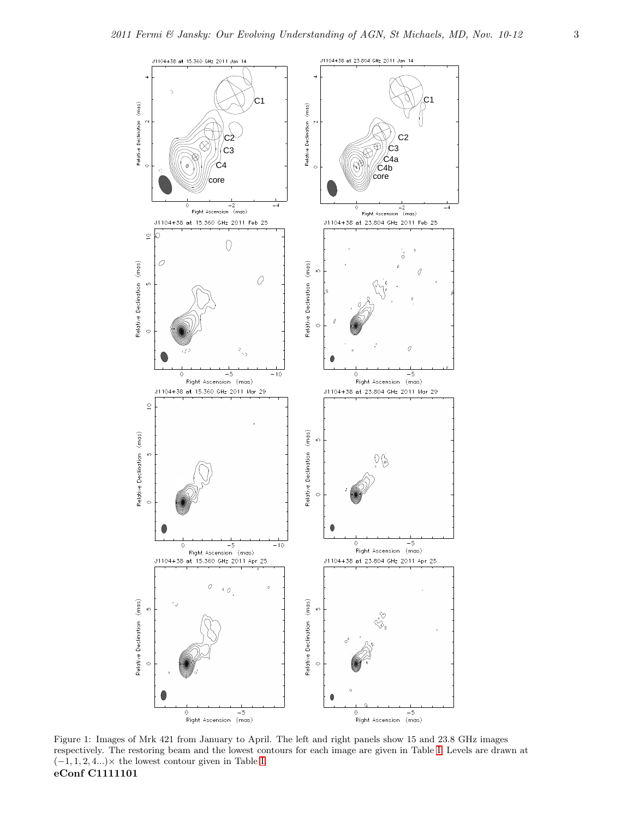

<span id="page-4-0"></span>Figure 1: Images of Mrk 421 from January to April. The left and right panels show 15 and 23.8 GHz images respectively. The restoring beam and the lowest contours for each image are given in Table I. Prevels are draw respectively. The restoring beam and the lowest contours for each image are given in Table [I.](#page-3-0) Levels are drawn at  $(-1, 1, 2, 4...) \times$  the lowest contour given in Table [I.](#page-3-0) eConf C1111101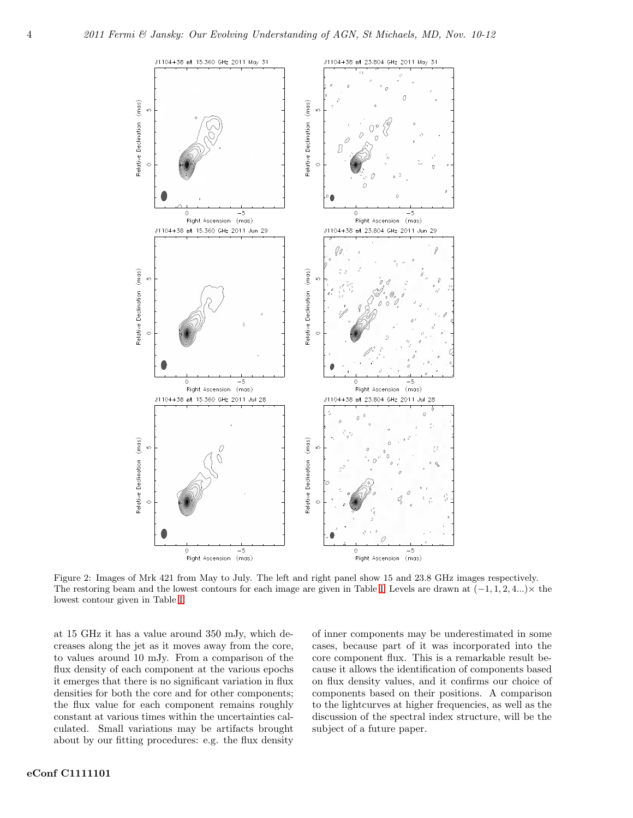

<span id="page-5-0"></span>Figure 2: Images of Mrk 421 from May to July. The left and right panel show 15 and 23.8 GHz images respectively. The restoring beam and the lowest contours for each image are given in Table [I.](#page-3-0) Levels are drawn at  $(-1, 1, 2, 4...)\times$  the lowest contour given in Table [I.](#page-3-0)

at 15 GHz it has a value around 350 mJy, which decreases along the jet as it moves away from the core, to values around 10 mJy. From a comparison of the flux density of each component at the various epochs it emerges that there is no significant variation in flux densities for both the core and for other components; the flux value for each component remains roughly constant at various times within the uncertainties calculated. Small variations may be artifacts brought about by our fitting procedures: e.g. the flux density

of inner components may be underestimated in some cases, because part of it was incorporated into the core component flux. This is a remarkable result because it allows the identification of components based on flux density values, and it confirms our choice of components based on their positions. A comparison to the lightcurves at higher frequencies, as well as the discussion of the spectral index structure, will be the subject of a future paper.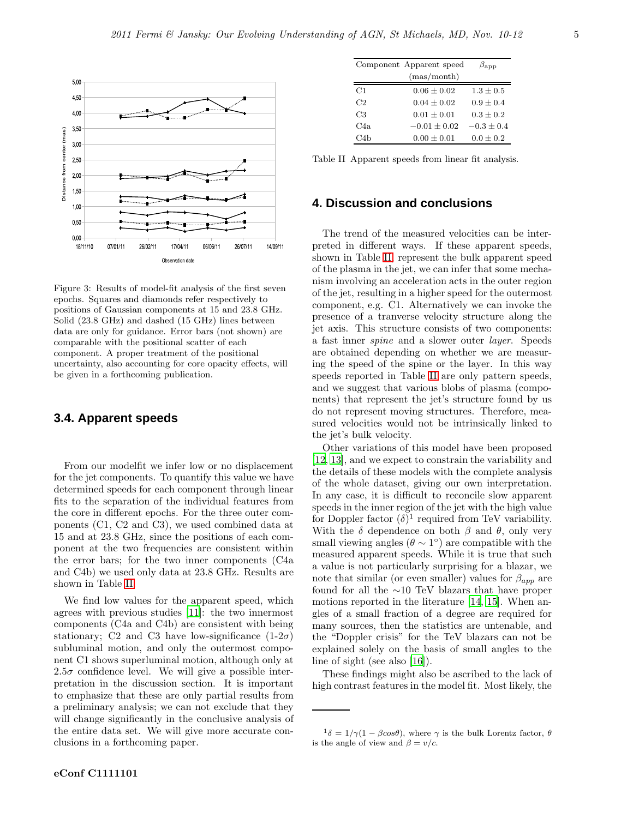

<span id="page-6-0"></span>Figure 3: Results of model-fit analysis of the first seven epochs. Squares and diamonds refer respectively to positions of Gaussian components at 15 and 23.8 GHz. Solid (23.8 GHz) and dashed (15 GHz) lines between data are only for guidance. Error bars (not shown) are comparable with the positional scatter of each component. A proper treatment of the positional uncertainty, also accounting for core opacity effects, will be given in a forthcoming publication.

#### **3.4. Apparent speeds**

From our modelfit we infer low or no displacement for the jet components. To quantify this value we have determined speeds for each component through linear fits to the separation of the individual features from the core in different epochs. For the three outer components (C1, C2 and C3), we used combined data at 15 and at 23.8 GHz, since the positions of each component at the two frequencies are consistent within the error bars; for the two inner components (C4a and C4b) we used only data at 23.8 GHz. Results are shown in Table [II.](#page-6-1)

We find low values for the apparent speed, which agrees with previous studies [\[11\]](#page-7-10): the two innermost components (C4a and C4b) are consistent with being stationary; C2 and C3 have low-significance  $(1-2\sigma)$ subluminal motion, and only the outermost component C1 shows superluminal motion, although only at  $2.5\sigma$  confidence level. We will give a possible interpretation in the discussion section. It is important to emphasize that these are only partial results from a preliminary analysis; we can not exclude that they will change significantly in the conclusive analysis of the entire data set. We will give more accurate conclusions in a forthcoming paper.

|     | Component Apparent speed | $\beta_{\rm{app}}$ |
|-----|--------------------------|--------------------|
|     | (mas/month)              |                    |
| C1  | $0.06 + 0.02$            | $1.3 + 0.5$        |
| C2  | $0.04 + 0.02$            | $0.9 + 0.4$        |
| C3  | $0.01 + 0.01$            | $0.3 + 0.2$        |
| C4a | $-0.01 + 0.02$           | $-0.3 + 0.4$       |
| C4b | $0.00 + 0.01$            | $0.0 + 0.2$        |

<span id="page-6-1"></span>Table II Apparent speeds from linear fit analysis.

### **4. Discussion and conclusions**

The trend of the measured velocities can be interpreted in different ways. If these apparent speeds, shown in Table [II,](#page-6-1) represent the bulk apparent speed of the plasma in the jet, we can infer that some mechanism involving an acceleration acts in the outer region of the jet, resulting in a higher speed for the outermost component, e.g. C1. Alternatively we can invoke the presence of a tranverse velocity structure along the jet axis. This structure consists of two components: a fast inner *spine* and a slower outer *layer*. Speeds are obtained depending on whether we are measuring the speed of the spine or the layer. In this way speeds reported in Table [II](#page-6-1) are only pattern speeds, and we suggest that various blobs of plasma (components) that represent the jet's structure found by us do not represent moving structures. Therefore, measured velocities would not be intrinsically linked to the jet's bulk velocity.

Other variations of this model have been proposed [\[12,](#page-7-11) [13](#page-7-12)], and we expect to constrain the variability and the details of these models with the complete analysis of the whole dataset, giving our own interpretation. In any case, it is difficult to reconcile slow apparent speeds in the inner region of the jet with the high value for Doppler factor  $(\delta)^1$  required from TeV variability. With the  $\delta$  dependence on both  $\beta$  and  $\theta$ , only very small viewing angles  $(\theta \sim 1^{\circ})$  are compatible with the measured apparent speeds. While it is true that such a value is not particularly surprising for a blazar, we note that similar (or even smaller) values for  $\beta_{app}$  are found for all the ∼10 TeV blazars that have proper motions reported in the literature [\[14](#page-7-13), [15](#page-7-14)]. When angles of a small fraction of a degree are required for many sources, then the statistics are untenable, and the "Doppler crisis" for the TeV blazars can not be explained solely on the basis of small angles to the line of sight (see also [\[16\]](#page-7-15)).

These findings might also be ascribed to the lack of high contrast features in the model fit. Most likely, the

 $1\delta = 1/\gamma(1 - \beta cos\theta)$ , where  $\gamma$  is the bulk Lorentz factor,  $\theta$ is the angle of view and  $\beta = v/c$ .